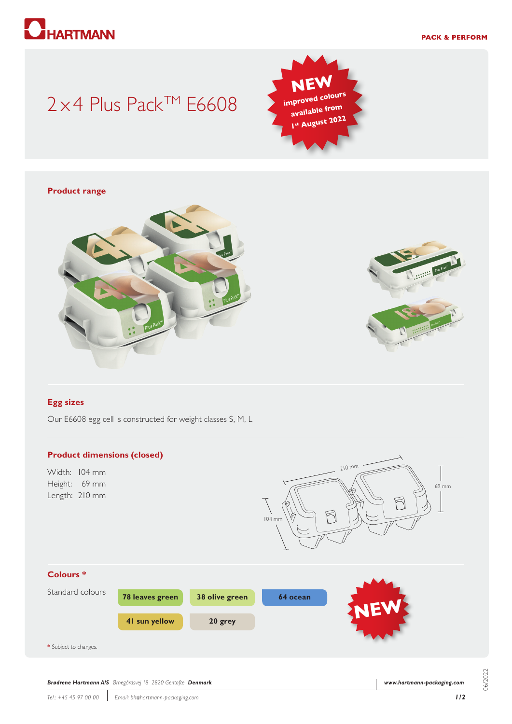# **HARTMANN**

#### **PACK & PERFORM**

## $2 \times 4$  Plus Pack<sup>TM</sup> E6608



#### **Product range**





#### **Egg sizes**

Our E6608 egg cell is constructed for weight classes S, M, L

#### **Product dimensions (closed)**

Width: 104 mm Height: 69 mm Length: 210 mm





*Brødrene Hartmann A/S Ørnegårdsvej 18 2820 Gentofte Denmark*

06/2022